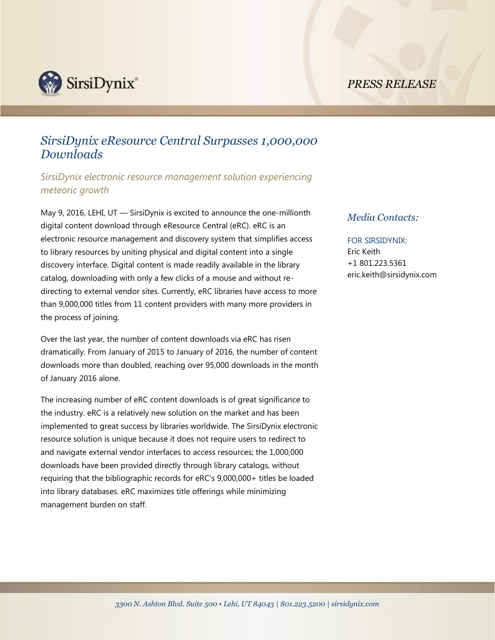

## *PRESS RELEASE*

# *SirsiDynix eResource Central Surpasses 1,000,000 Downloads*

*SirsiDynix electronic resource management solution experiencing meteoric growth*

May 9, 2016, LEHI, UT — SirsiDynix is excited to announce the one-millionth digital content download through eResource Central (eRC). eRC is an electronic resource management and discovery system that simplifies access to library resources by uniting physical and digital content into a single discovery interface. Digital content is made readily available in the library catalog, downloading with only a few clicks of a mouse and without redirecting to external vendor sites. Currently, eRC libraries have access to more than 9,000,000 titles from 11 content providers with many more providers in the process of joining.

Over the last year, the number of content downloads via eRC has risen dramatically. From January of 2015 to January of 2016, the number of content downloads more than doubled, reaching over 95,000 downloads in the month of January 2016 alone.

The increasing number of eRC content downloads is of great significance to the industry. eRC is a relatively new solution on the market and has been implemented to great success by libraries worldwide. The SirsiDynix electronic resource solution is unique because it does not require users to redirect to and navigate external vendor interfaces to access resources; the 1,000,000 downloads have been provided directly through library catalogs, without requiring that the bibliographic records for eRC's 9,000,000+ titles be loaded into library databases. eRC maximizes title offerings while minimizing management burden on staff.

### *Media Contacts:*

## FOR SIRSIDYNIX:

Eric Keith +1 801.223.5361 eric.keith@sirsidynix.com